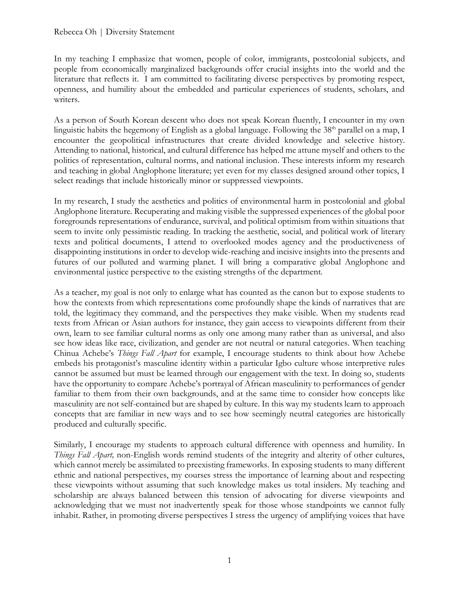In my teaching I emphasize that women, people of color, immigrants, postcolonial subjects, and people from economically marginalized backgrounds offer crucial insights into the world and the literature that reflects it. I am committed to facilitating diverse perspectives by promoting respect, openness, and humility about the embedded and particular experiences of students, scholars, and writers.

As a person of South Korean descent who does not speak Korean fluently, I encounter in my own linguistic habits the hegemony of English as a global language. Following the  $38<sup>th</sup>$  parallel on a map, I encounter the geopolitical infrastructures that create divided knowledge and selective history. Attending to national, historical, and cultural difference has helped me attune myself and others to the politics of representation, cultural norms, and national inclusion. These interests inform my research and teaching in global Anglophone literature; yet even for my classes designed around other topics, I select readings that include historically minor or suppressed viewpoints.

In my research, I study the aesthetics and politics of environmental harm in postcolonial and global Anglophone literature. Recuperating and making visible the suppressed experiences of the global poor foregrounds representations of endurance, survival, and political optimism from within situations that seem to invite only pessimistic reading. In tracking the aesthetic, social, and political work of literary texts and political documents, I attend to overlooked modes agency and the productiveness of disappointing institutions in order to develop wide-reaching and incisive insights into the presents and futures of our polluted and warming planet. I will bring a comparative global Anglophone and environmental justice perspective to the existing strengths of the department.

As a teacher, my goal is not only to enlarge what has counted as the canon but to expose students to how the contexts from which representations come profoundly shape the kinds of narratives that are told, the legitimacy they command, and the perspectives they make visible. When my students read texts from African or Asian authors for instance, they gain access to viewpoints different from their own, learn to see familiar cultural norms as only one among many rather than as universal, and also see how ideas like race, civilization, and gender are not neutral or natural categories. When teaching Chinua Achebe's *Things Fall Apart* for example, I encourage students to think about how Achebe embeds his protagonist's masculine identity within a particular Igbo culture whose interpretive rules cannot be assumed but must be learned through our engagement with the text. In doing so, students have the opportunity to compare Achebe's portrayal of African masculinity to performances of gender familiar to them from their own backgrounds, and at the same time to consider how concepts like masculinity are not self-contained but are shaped by culture. In this way my students learn to approach concepts that are familiar in new ways and to see how seemingly neutral categories are historically produced and culturally specific.

Similarly, I encourage my students to approach cultural difference with openness and humility. In *Things Fall Apart,* non-English words remind students of the integrity and alterity of other cultures, which cannot merely be assimilated to preexisting frameworks. In exposing students to many different ethnic and national perspectives, my courses stress the importance of learning about and respecting these viewpoints without assuming that such knowledge makes us total insiders. My teaching and scholarship are always balanced between this tension of advocating for diverse viewpoints and acknowledging that we must not inadvertently speak for those whose standpoints we cannot fully inhabit. Rather, in promoting diverse perspectives I stress the urgency of amplifying voices that have